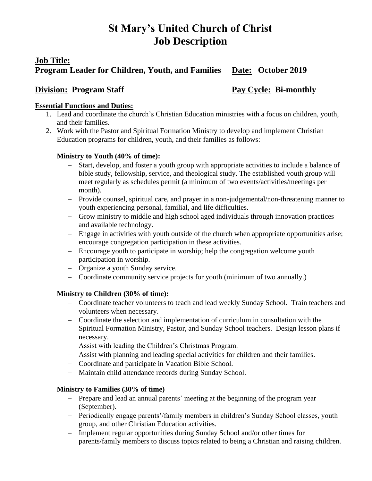# **St Mary's United Church of Christ Job Description**

## **Job Title:**

# **Program Leader for Children, Youth, and Families Date: October 2019**

# **Division: Program Staff Pay Cycle: Bi-monthly**

#### **Essential Functions and Duties:**

- 1. Lead and coordinate the church's Christian Education ministries with a focus on children, youth, and their families.
- 2. Work with the Pastor and Spiritual Formation Ministry to develop and implement Christian Education programs for children, youth, and their families as follows:

#### **Ministry to Youth (40% of time):**

- − Start, develop, and foster a youth group with appropriate activities to include a balance of bible study, fellowship, service, and theological study. The established youth group will meet regularly as schedules permit (a minimum of two events/activities/meetings per month).
- − Provide counsel, spiritual care, and prayer in a non-judgemental/non-threatening manner to youth experiencing personal, familial, and life difficulties.
- − Grow ministry to middle and high school aged individuals through innovation practices and available technology.
- − Engage in activities with youth outside of the church when appropriate opportunities arise; encourage congregation participation in these activities.
- − Encourage youth to participate in worship; help the congregation welcome youth participation in worship.
- − Organize a youth Sunday service.
- − Coordinate community service projects for youth (minimum of two annually.)

### **Ministry to Children (30% of time):**

- − Coordinate teacher volunteers to teach and lead weekly Sunday School. Train teachers and volunteers when necessary.
- − Coordinate the selection and implementation of curriculum in consultation with the Spiritual Formation Ministry, Pastor, and Sunday School teachers. Design lesson plans if necessary.
- − Assist with leading the Children's Christmas Program.
- − Assist with planning and leading special activities for children and their families.
- − Coordinate and participate in Vacation Bible School.
- − Maintain child attendance records during Sunday School.

#### **Ministry to Families (30% of time)**

- − Prepare and lead an annual parents' meeting at the beginning of the program year (September).
- − Periodically engage parents'/family members in children's Sunday School classes, youth group, and other Christian Education activities.
- − Implement regular opportunities during Sunday School and/or other times for parents/family members to discuss topics related to being a Christian and raising children.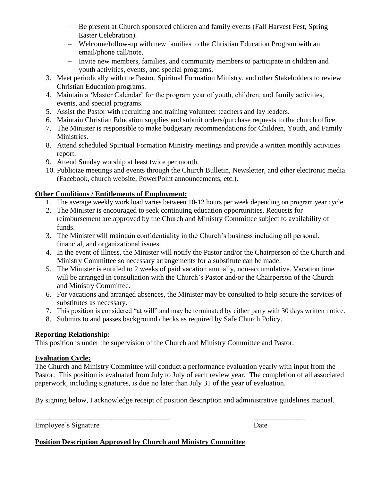- − Be present at Church sponsored children and family events (Fall Harvest Fest, Spring Easter Celebration).
- − Welcome/follow-up with new families to the Christian Education Program with an email/phone call/note.
- − Invite new members, families, and community members to participate in children and youth activities, events, and special programs.
- 3. Meet periodically with the Pastor, Spiritual Formation Ministry, and other Stakeholders to review Christian Education programs.
- 4. Maintain a 'Master Calendar' for the program year of youth, children, and family activities, events, and special programs.
- 5. Assist the Pastor with recruiting and training volunteer teachers and lay leaders.
- 6. Maintain Christian Education supplies and submit orders/purchase requests to the church office.
- 7. The Minister is responsible to make budgetary recommendations for Children, Youth, and Family Ministries.
- 8. Attend scheduled Spiritual Formation Ministry meetings and provide a written monthly activities report.
- 9. Attend Sunday worship at least twice per month.
- 10. Publicize meetings and events through the Church Bulletin, Newsletter, and other electronic media (Facebook, church website, PowerPoint announcements, etc.).

# **Other Conditions / Entitlements of Employment:**

- 1. The average weekly work load varies between 10-12 hours per week depending on program year cycle.
- 2. The Minister is encouraged to seek continuing education opportunities. Requests for reimbursement are approved by the Church and Ministry Committee subject to availability of funds.
- 3. The Minister will maintain confidentiality in the Church's business including all personal, financial, and organizational issues.
- 4. In the event of illness, the Minister will notify the Pastor and/or the Chairperson of the Church and Ministry Committee so necessary arrangements for a substitute can be made.
- 5. The Minister is entitled to 2 weeks of paid vacation annually, non-accumulative. Vacation time will be arranged in consultation with the Church's Pastor and/or the Chairperson of the Church and Ministry Committee.
- 6. For vacations and arranged absences, the Minister may be consulted to help secure the services of substitutes as necessary.
- 7. This position is considered "at will" and may be terminated by either party with 30 days written notice.
- 8. Submits to and passes background checks as required by Safe Church Policy.

# **Reporting Relationship:**

This position is under the supervision of the Church and Ministry Committee and Pastor.

# **Evaluation Cycle:**

The Church and Ministry Committee will conduct a performance evaluation yearly with input from the Pastor. This position is evaluated from July to July of each review year. The completion of all associated paperwork, including signatures, is due no later than July 31 of the year of evaluation.

By signing below, I acknowledge receipt of position description and administrative guidelines manual.

\_\_\_\_\_\_\_\_\_\_\_\_\_\_\_\_\_\_\_\_\_\_\_\_\_\_\_\_\_\_\_\_\_\_\_\_\_ \_\_\_\_\_\_\_\_\_\_\_\_\_\_

Employee's Signature Date

**Position Description Approved by Church and Ministry Committee**